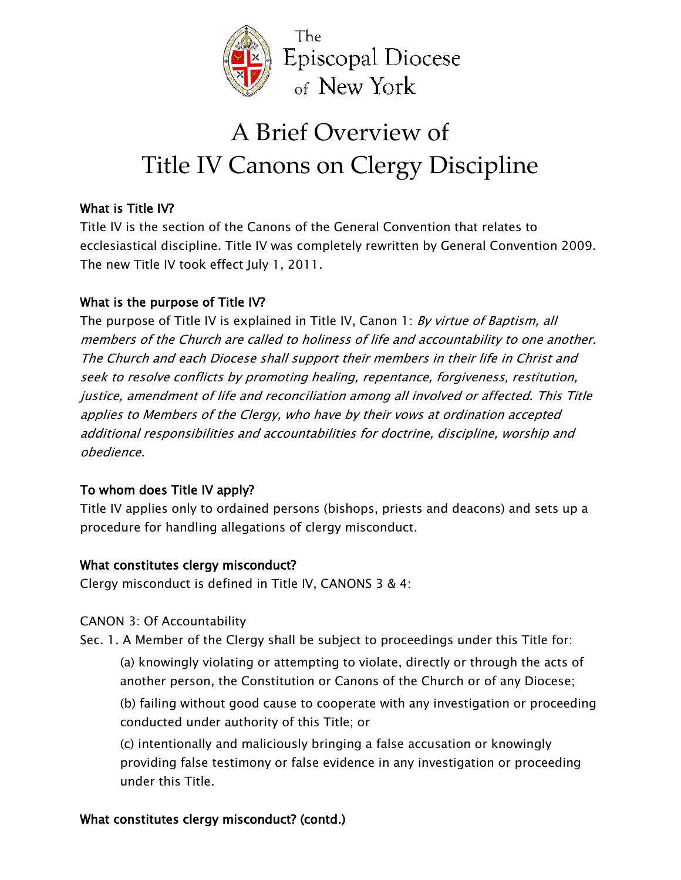

# A Brief Overview of Title IV Canons on Clergy Discipline

# *What is Title IV?*

*Title IV is the section of the Canons of the General Convention that relates to ecclesiastical discipline. Title IV was completely rewritten by General Convention 2009. The new Title IV took effect July 1, 2011.* 

## *What is the purpose of Title IV?*

*The purpose of Title IV is explained in Title IV, Canon 1: By virtue of Baptism, all members of the Church are called to holiness of life and accountability to one another. The Church and each Diocese shall support their members in their life in Christ and seek to resolve conflicts by promoting healing, repentance, forgiveness, restitution, justice, amendment of life and reconciliation among all involved or affected. This Title applies to Members of the Clergy, who have by their vows at ordination accepted additional responsibilities and accountabilities for doctrine, discipline, worship and obedience.* 

# *To whom does Title IV apply?*

*Title IV applies only to ordained persons (bishops, priests and deacons) and sets up a procedure for handling allegations of clergy misconduct.* 

## *What constitutes clergy misconduct?*

*Clergy misconduct is defined in Title IV, CANONS 3 & 4:*

## *CANON 3: Of Accountability*

- *Sec. 1. A Member of the Clergy shall be subject to proceedings under this Title for:* 
	- *(a) knowingly violating or attempting to violate, directly or through the acts of another person, the Constitution or Canons of the Church or of any Diocese;*
	- *(b) failing without good cause to cooperate with any investigation or proceeding conducted under authority of this Title; or*
	- *(c) intentionally and maliciously bringing a false accusation or knowingly providing false testimony or false evidence in any investigation or proceeding under this Title.*

## *What constitutes clergy misconduct? (contd.)*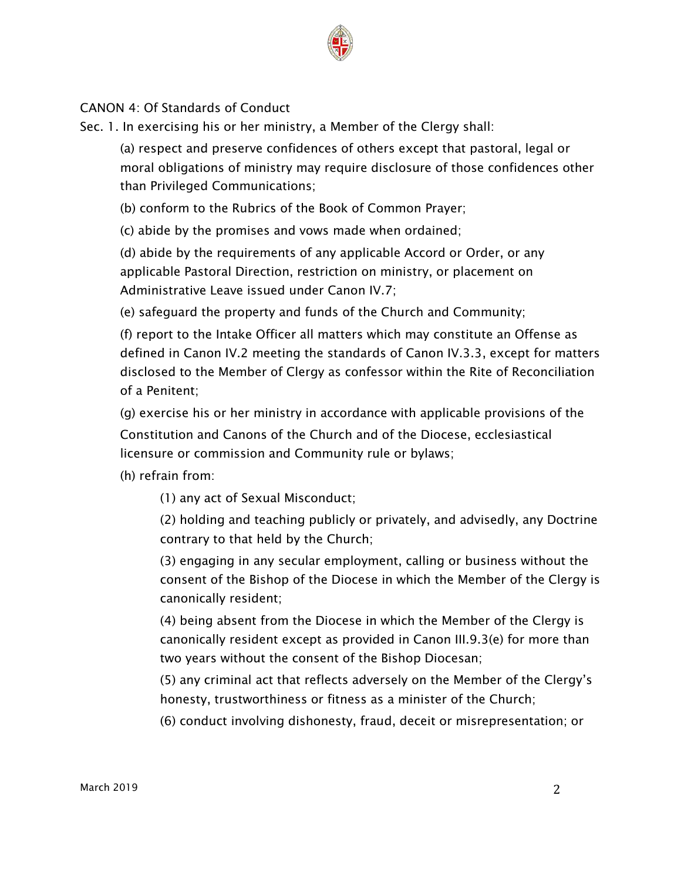

#### *CANON 4: Of Standards of Conduct*

*Sec. 1. In exercising his or her ministry, a Member of the Clergy shall:*

*(a) respect and preserve confidences of others except that pastoral, legal or moral obligations of ministry may require disclosure of those confidences other than Privileged Communications;*

*(b) conform to the Rubrics of the Book of Common Prayer;*

*(c) abide by the promises and vows made when ordained;*

*(d) abide by the requirements of any applicable Accord or Order, or any applicable Pastoral Direction, restriction on ministry, or placement on Administrative Leave issued under Canon IV.7;*

*(e) safeguard the property and funds of the Church and Community;*

*(f) report to the Intake Officer all matters which may constitute an Offense as defined in Canon IV.2 meeting the standards of Canon IV.3.3, except for matters disclosed to the Member of Clergy as confessor within the Rite of Reconciliation of a Penitent;*

*(g) exercise his or her ministry in accordance with applicable provisions of the Constitution and Canons of the Church and of the Diocese, ecclesiastical licensure or commission and Community rule or bylaws;*

*(h) refrain from:*

*(1) any act of Sexual Misconduct;*

*(2) holding and teaching publicly or privately, and advisedly, any Doctrine contrary to that held by the Church;*

*(3) engaging in any secular employment, calling or business without the consent of the Bishop of the Diocese in which the Member of the Clergy is canonically resident;*

*(4) being absent from the Diocese in which the Member of the Clergy is canonically resident except as provided in Canon III.9.3(e) for more than two years without the consent of the Bishop Diocesan;*

*(5) any criminal act that reflects adversely on the Member of the Clergy's honesty, trustworthiness or fitness as a minister of the Church;*

*(6) conduct involving dishonesty, fraud, deceit or misrepresentation; or*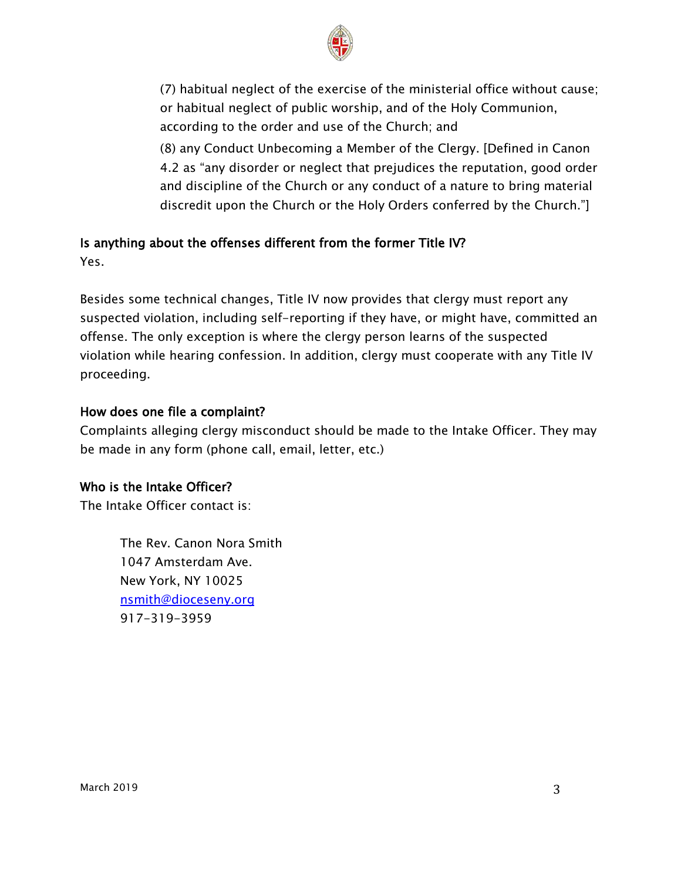

*(7) habitual neglect of the exercise of the ministerial office without cause; or habitual neglect of public worship, and of the Holy Communion, according to the order and use of the Church; and* 

*(8) any Conduct Unbecoming a Member of the Clergy. [Defined in Canon 4.2 as "any disorder or neglect that prejudices the reputation, good order and discipline of the Church or any conduct of a nature to bring material discredit upon the Church or the Holy Orders conferred by the Church."]*

# *Is anything about the offenses different from the former Title IV? Yes.*

*Besides some technical changes, Title IV now provides that clergy must report any suspected violation, including self-reporting if they have, or might have, committed an offense. The only exception is where the clergy person learns of the suspected violation while hearing confession. In addition, clergy must cooperate with any Title IV proceeding.*

## *How does one file a complaint?*

*Complaints alleging clergy misconduct should be made to the Intake Officer. They may be made in any form (phone call, email, letter, etc.)*

#### *Who is the Intake Officer?*

*The Intake Officer contact is:* 

*The Rev. Canon Nora Smith 1047 Amsterdam Ave. New York, NY 10025 [nsmith@dioceseny.org](mailto:nsmith@dioceseny.org) 917-319-3959*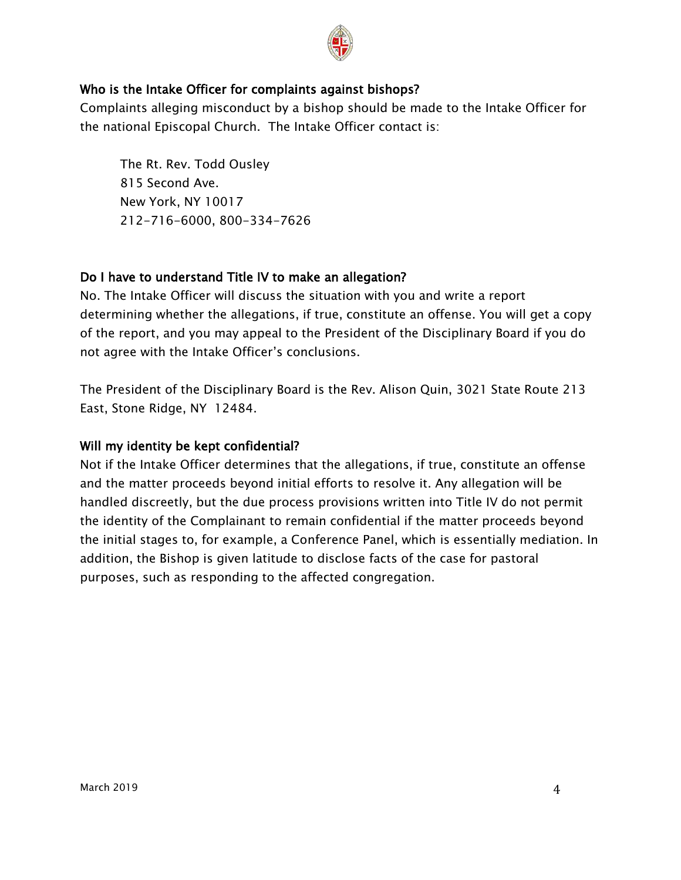

#### *Who is the Intake Officer for complaints against bishops?*

*Complaints alleging misconduct by a bishop should be made to the Intake Officer for the national Episcopal Church. The Intake Officer contact is:*

*The Rt. Rev. Todd Ousley 815 Second Ave. New York, NY 10017 212-716-6000, 800-334-7626*

#### *Do I have to understand Title IV to make an allegation?*

*No. The Intake Officer will discuss the situation with you and write a report determining whether the allegations, if true, constitute an offense. You will get a copy of the report, and you may appeal to the President of the Disciplinary Board if you do not agree with the Intake Officer's conclusions.* 

*The President of the Disciplinary Board is the Rev. Alison Quin, 3021 State Route 213 East, Stone Ridge, NY 12484.*

#### *Will my identity be kept confidential?*

*Not if the Intake Officer determines that the allegations, if true, constitute an offense and the matter proceeds beyond initial efforts to resolve it. Any allegation will be handled discreetly, but the due process provisions written into Title IV do not permit the identity of the Complainant to remain confidential if the matter proceeds beyond the initial stages to, for example, a Conference Panel, which is essentially mediation. In addition, the Bishop is given latitude to disclose facts of the case for pastoral purposes, such as responding to the affected congregation.*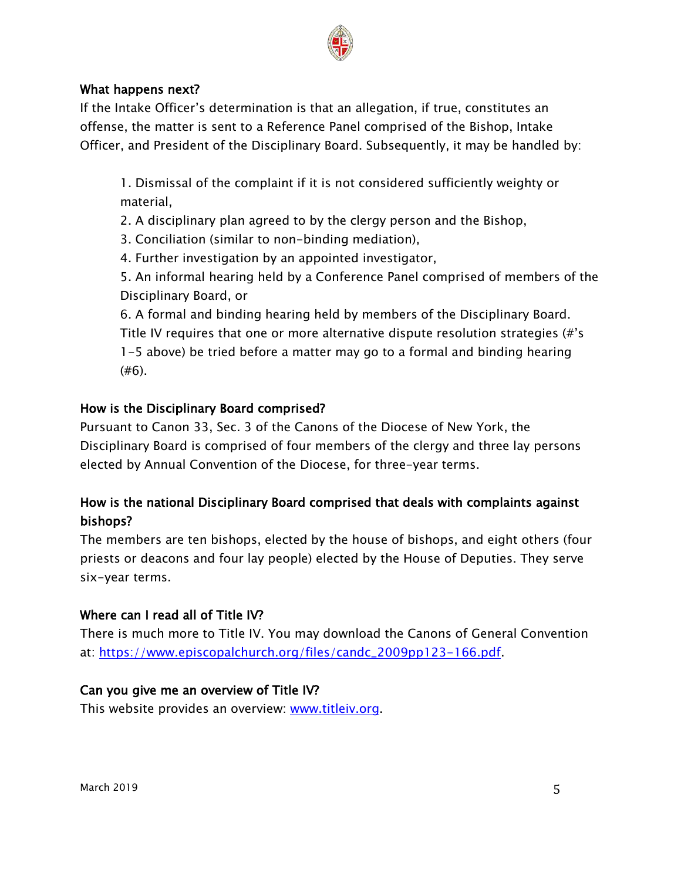

#### *What happens next?*

*If the Intake Officer's determination is that an allegation, if true, constitutes an offense, the matter is sent to a Reference Panel comprised of the Bishop, Intake Officer, and President of the Disciplinary Board. Subsequently, it may be handled by:*

*1. Dismissal of the complaint if it is not considered sufficiently weighty or material,* 

*2. A disciplinary plan agreed to by the clergy person and the Bishop,*

*3. Conciliation (similar to non-binding mediation),*

*4. Further investigation by an appointed investigator,*

*5. An informal hearing held by a Conference Panel comprised of members of the Disciplinary Board, or*

*6. A formal and binding hearing held by members of the Disciplinary Board. Title IV requires that one or more alternative dispute resolution strategies (#'s 1-5 above) be tried before a matter may go to a formal and binding hearing (#6).*

## *How is the Disciplinary Board comprised?*

*Pursuant to Canon 33, Sec. 3 of the Canons of the Diocese of New York, the Disciplinary Board is comprised of four members of the clergy and three lay persons elected by Annual Convention of the Diocese, for three-year terms.*

# *How is the national Disciplinary Board comprised that deals with complaints against bishops?*

*The members are ten bishops, elected by the house of bishops, and eight others (four priests or deacons and four lay people) elected by the House of Deputies. They serve six-year terms.* 

## *Where can I read all of Title IV?*

*There is much more to Title IV. You may download the Canons of General Convention at: [https://www.episcopalchurch.org/files/candc\\_2009pp123-166.pdf.](https://www.episcopalchurch.org/files/candc_2009pp123-166.pdf)* 

## *Can you give me an overview of Title IV?*

*This website provides an overview: [www.titleiv.org.](http://www.titleiv.org/)*